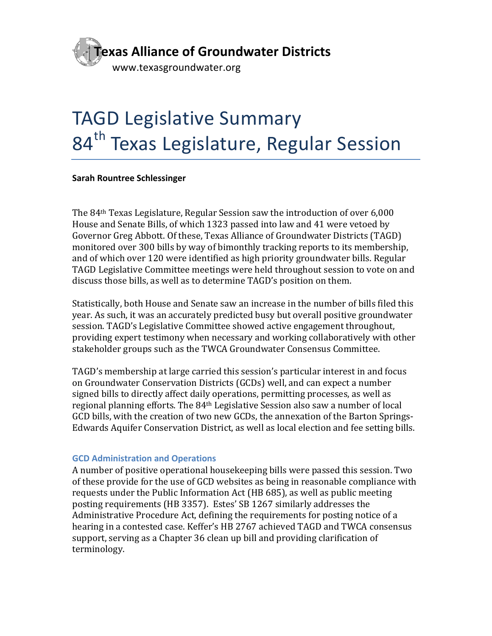

# **TAGD Legislative Summary** 84<sup>th</sup> Texas Legislature, Regular Session

#### **Sarah Rountree Schlessinger**

The  $84<sup>th</sup>$  Texas Legislature, Regular Session saw the introduction of over  $6,000$ House and Senate Bills, of which 1323 passed into law and 41 were vetoed by Governor Greg Abbott. Of these, Texas Alliance of Groundwater Districts (TAGD) monitored over 300 bills by way of bimonthly tracking reports to its membership, and of which over 120 were identified as high priority groundwater bills. Regular TAGD Legislative Committee meetings were held throughout session to vote on and discuss those bills, as well as to determine TAGD's position on them.

Statistically, both House and Senate saw an increase in the number of bills filed this year. As such, it was an accurately predicted busy but overall positive groundwater session. TAGD's Legislative Committee showed active engagement throughout, providing expert testimony when necessary and working collaboratively with other stakeholder groups such as the TWCA Groundwater Consensus Committee.

TAGD's membership at large carried this session's particular interest in and focus on Groundwater Conservation Districts (GCDs) well, and can expect a number signed bills to directly affect daily operations, permitting processes, as well as regional planning efforts. The 84<sup>th</sup> Legislative Session also saw a number of local GCD bills, with the creation of two new GCDs, the annexation of the Barton Springs-Edwards Aquifer Conservation District, as well as local election and fee setting bills.

#### **GCD Administration and Operations**

A number of positive operational housekeeping bills were passed this session. Two of these provide for the use of GCD websites as being in reasonable compliance with requests under the Public Information Act (HB 685), as well as public meeting posting requirements (HB 3357). Estes' SB 1267 similarly addresses the Administrative Procedure Act, defining the requirements for posting notice of a hearing in a contested case. Keffer's HB 2767 achieved TAGD and TWCA consensus support, serving as a Chapter 36 clean up bill and providing clarification of terminology.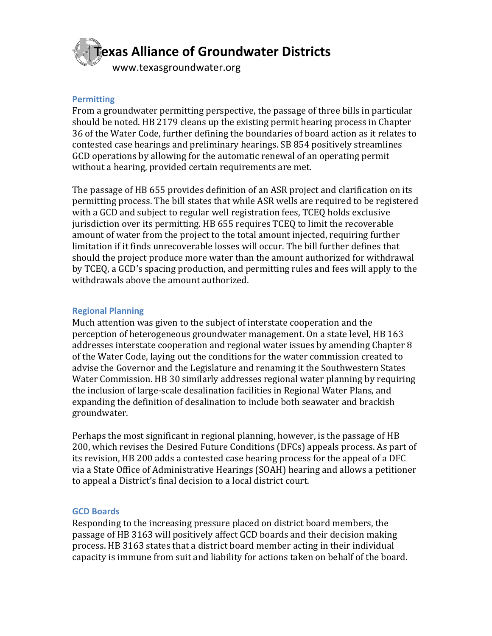

# **Permitting**

From a groundwater permitting perspective, the passage of three bills in particular should be noted. HB 2179 cleans up the existing permit hearing process in Chapter 36 of the Water Code, further defining the boundaries of board action as it relates to contested case hearings and preliminary hearings. SB 854 positively streamlines GCD operations by allowing for the automatic renewal of an operating permit without a hearing, provided certain requirements are met.

The passage of HB 655 provides definition of an ASR project and clarification on its permitting process. The bill states that while ASR wells are required to be registered with a GCD and subject to regular well registration fees, TCEQ holds exclusive jurisdiction over its permitting. HB 655 requires TCEQ to limit the recoverable amount of water from the project to the total amount injected, requiring further limitation if it finds unrecoverable losses will occur. The bill further defines that should the project produce more water than the amount authorized for withdrawal by TCEQ, a GCD's spacing production, and permitting rules and fees will apply to the withdrawals above the amount authorized.

#### **Regional Planning**

Much attention was given to the subject of interstate cooperation and the perception of heterogeneous groundwater management. On a state level, HB 163 addresses interstate cooperation and regional water issues by amending Chapter 8 of the Water Code, laying out the conditions for the water commission created to advise the Governor and the Legislature and renaming it the Southwestern States Water Commission. HB 30 similarly addresses regional water planning by requiring the inclusion of large-scale desalination facilities in Regional Water Plans, and expanding the definition of desalination to include both seawater and brackish groundwater. 

Perhaps the most significant in regional planning, however, is the passage of HB 200, which revises the Desired Future Conditions (DFCs) appeals process. As part of its revision, HB 200 adds a contested case hearing process for the appeal of a DFC via a State Office of Administrative Hearings (SOAH) hearing and allows a petitioner to appeal a District's final decision to a local district court.

#### **GCD Boards**

Responding to the increasing pressure placed on district board members, the passage of HB 3163 will positively affect GCD boards and their decision making process. HB 3163 states that a district board member acting in their individual capacity is immune from suit and liability for actions taken on behalf of the board.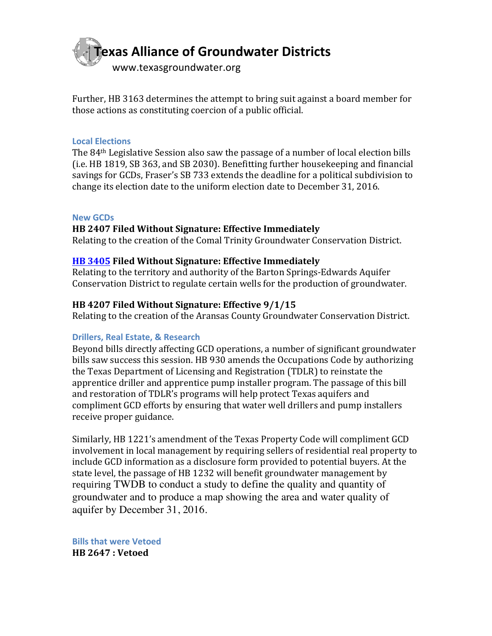

Further, HB 3163 determines the attempt to bring suit against a board member for those actions as constituting coercion of a public official.

#### **Local Elections**

The  $84<sup>th</sup>$  Legislative Session also saw the passage of a number of local election bills  $(i.e.$  HB 1819, SB 363, and SB 2030). Benefitting further housekeeping and financial savings for GCDs, Fraser's SB 733 extends the deadline for a political subdivision to change its election date to the uniform election date to December  $31, 2016$ .

#### **New GCDs**

# **HB 2407 Filed Without Signature: Effective Immediately**

Relating to the creation of the Comal Trinity Groundwater Conservation District.

# **HB** 3405 Filed Without Signature: Effective Immediately

Relating to the territory and authority of the Barton Springs-Edwards Aquifer Conservation District to regulate certain wells for the production of groundwater.

# HB 4207 Filed Without Signature: Effective 9/1/15

Relating to the creation of the Aransas County Groundwater Conservation District.

#### **Drillers, Real Estate, & Research**

Beyond bills directly affecting GCD operations, a number of significant groundwater bills saw success this session. HB 930 amends the Occupations Code by authorizing the Texas Department of Licensing and Registration (TDLR) to reinstate the apprentice driller and apprentice pump installer program. The passage of this bill and restoration of TDLR's programs will help protect Texas aquifers and compliment GCD efforts by ensuring that water well drillers and pump installers receive proper guidance.

Similarly, HB 1221's amendment of the Texas Property Code will compliment GCD involvement in local management by requiring sellers of residential real property to include GCD information as a disclosure form provided to potential buyers. At the state level, the passage of HB 1232 will benefit groundwater management by requiring TWDB to conduct a study to define the quality and quantity of groundwater and to produce a map showing the area and water quality of aquifer by December 31, 2016.

**Bills that were Vetoed HB 2647 : Vetoed**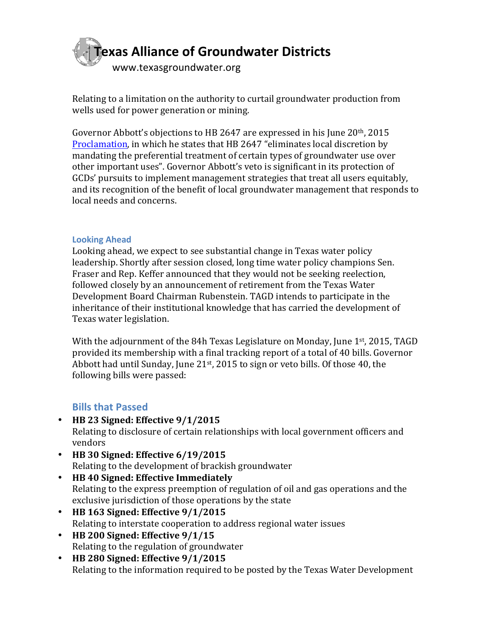

Relating to a limitation on the authority to curtail groundwater production from wells used for power generation or mining.

Governor Abbott's objections to HB 2647 are expressed in his June  $20$ <sup>th</sup>, 2015 Proclamation, in which he states that HB 2647 "eliminates local discretion by mandating the preferential treatment of certain types of groundwater use over other important uses". Governor Abbott's veto is significant in its protection of GCDs' pursuits to implement management strategies that treat all users equitably, and its recognition of the benefit of local groundwater management that responds to local needs and concerns.

# **Looking Ahead**

Looking ahead, we expect to see substantial change in Texas water policy leadership. Shortly after session closed, long time water policy champions Sen. Fraser and Rep. Keffer announced that they would not be seeking reelection, followed closely by an announcement of retirement from the Texas Water Development Board Chairman Rubenstein. TAGD intends to participate in the inheritance of their institutional knowledge that has carried the development of Texas water legislation.

With the adjournment of the 84h Texas Legislature on Monday, June  $1<sup>st</sup>$ , 2015, TAGD provided its membership with a final tracking report of a total of 40 bills. Governor Abbott had until Sunday, June  $21^{st}$ , 2015 to sign or veto bills. Of those 40, the following bills were passed:

# **Bills that Passed**

- $\cdot$  **HB** 23 Signed: Effective  $9/1/2015$ Relating to disclosure of certain relationships with local government officers and vendors
- **HB** 30 Signed: Effective  $6/19/2015$ Relating to the development of brackish groundwater
- **HB 40 Signed: Effective Immediately**  Relating to the express preemption of regulation of oil and gas operations and the exclusive jurisdiction of those operations by the state
- **HB** 163 Signed: Effective  $9/1/2015$ Relating to interstate cooperation to address regional water issues
- HB 200 Signed: Effective  $9/1/15$ Relating to the regulation of groundwater
- **HB 280 Signed: Effective 9/1/2015** Relating to the information required to be posted by the Texas Water Development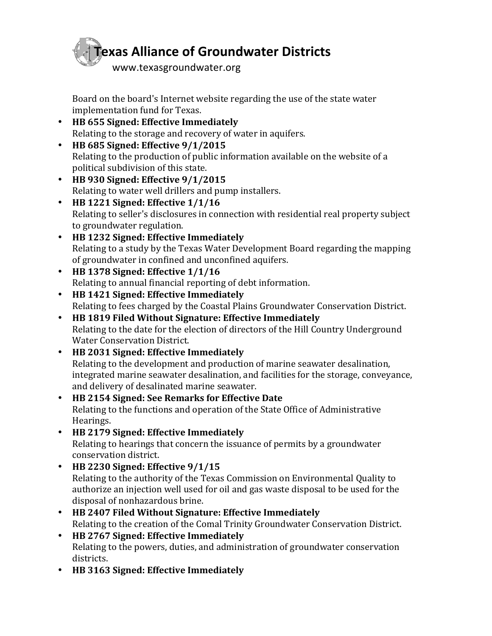

Board on the board's Internet website regarding the use of the state water implementation fund for Texas.

- **HB 655 Signed: Effective Immediately** Relating to the storage and recovery of water in aquifers.
- **HB** 685 Signed: Effective  $9/1/2015$ Relating to the production of public information available on the website of a political subdivision of this state.
- **HB** 930 Signed: Effective  $9/1/2015$ Relating to water well drillers and pump installers.
- **HB** 1221 Signed: Effective  $1/1/16$ Relating to seller's disclosures in connection with residential real property subject to groundwater regulation.
- **HB 1232 Signed: Effective Immediately** Relating to a study by the Texas Water Development Board regarding the mapping of groundwater in confined and unconfined aquifers.
- **HB** 1378 Signed: Effective  $1/1/16$ Relating to annual financial reporting of debt information.
- **HB 1421 Signed: Effective Immediately** Relating to fees charged by the Coastal Plains Groundwater Conservation District.
- **HB 1819 Filed Without Signature: Effective Immediately** Relating to the date for the election of directors of the Hill Country Underground Water Conservation District.
- **HB 2031 Signed: Effective Immediately** Relating to the development and production of marine seawater desalination, integrated marine seawater desalination, and facilities for the storage, conveyance, and delivery of desalinated marine seawater.
- **HB 2154 Signed: See Remarks for Effective Date** Relating to the functions and operation of the State Office of Administrative Hearings.
- **HB 2179 Signed: Effective Immediately** Relating to hearings that concern the issuance of permits by a groundwater conservation district.
- HB 2230 Signed: Effective  $9/1/15$ Relating to the authority of the Texas Commission on Environmental Quality to authorize an injection well used for oil and gas waste disposal to be used for the disposal of nonhazardous brine.
- **HB 2407 Filed Without Signature: Effective Immediately** Relating to the creation of the Comal Trinity Groundwater Conservation District.
- **HB 2767 Signed: Effective Immediately** Relating to the powers, duties, and administration of groundwater conservation districts.
- **HB 3163 Signed: Effective Immediately**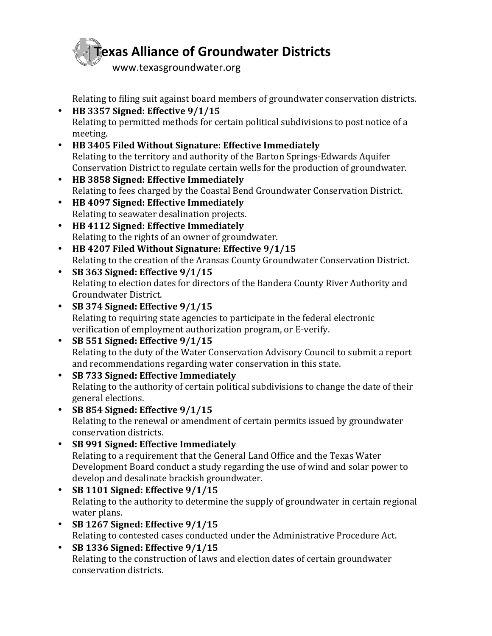

Relating to filing suit against board members of groundwater conservation districts.

- HB 3357 Signed: Effective  $9/1/15$ Relating to permitted methods for certain political subdivisions to post notice of a meeting.
- **HB 3405 Filed Without Signature: Effective Immediately** Relating to the territory and authority of the Barton Springs-Edwards Aquifer Conservation District to regulate certain wells for the production of groundwater.
- **HB 3858 Signed: Effective Immediately** Relating to fees charged by the Coastal Bend Groundwater Conservation District.
- **HB 4097 Signed: Effective Immediately** Relating to seawater desalination projects.
- **HB 4112 Signed: Effective Immediately** Relating to the rights of an owner of groundwater.
- HB 4207 Filed Without Signature: Effective 9/1/15 Relating to the creation of the Aransas County Groundwater Conservation District.
- **SB** 363 Signed: Effective  $9/1/15$ Relating to election dates for directors of the Bandera County River Authority and Groundwater District.
- SB 374 Signed: Effective  $9/1/15$ Relating to requiring state agencies to participate in the federal electronic verification of employment authorization program, or E-verify.
- SB 551 Signed: Effective  $9/1/15$ Relating to the duty of the Water Conservation Advisory Council to submit a report and recommendations regarding water conservation in this state.
- **SB 733 Signed: Effective Immediately** Relating to the authority of certain political subdivisions to change the date of their general elections.
- **SB 854 Signed:** Effective  $9/1/15$ Relating to the renewal or amendment of certain permits issued by groundwater conservation districts.
- **SB 991 Signed: Effective Immediately** Relating to a requirement that the General Land Office and the Texas Water Development Board conduct a study regarding the use of wind and solar power to develop and desalinate brackish groundwater.
- **SB 1101 Signed: Effective 9/1/15** Relating to the authority to determine the supply of groundwater in certain regional water plans.
- **SB 1267 Signed:** Effective  $9/1/15$ Relating to contested cases conducted under the Administrative Procedure Act.
- **SB 1336 Signed: Effective 9/1/15** Relating to the construction of laws and election dates of certain groundwater conservation districts.